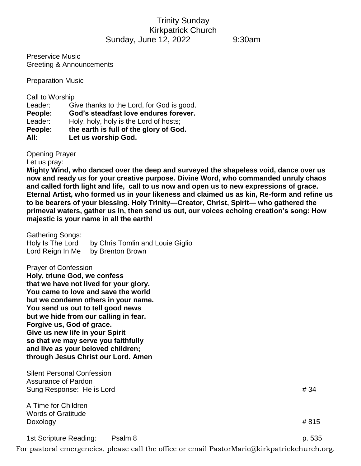## Trinity Sunday Kirkpatrick Church Sunday, June 12, 2022 9:30am

Preservice Music Greeting & Announcements

Preparation Music

| Call to Worship |                                           |
|-----------------|-------------------------------------------|
| Leader:         | Give thanks to the Lord, for God is good. |
| People:         | God's steadfast love endures forever.     |
| Leader:         | Holy, holy, holy is the Lord of hosts;    |
| People:         | the earth is full of the glory of God.    |
| All:            | Let us worship God.                       |
|                 |                                           |

Opening Prayer

Let us pray:

**Mighty Wind, who danced over the deep and surveyed the shapeless void, dance over us now and ready us for your creative purpose. Divine Word, who commanded unruly chaos and called forth light and life, call to us now and open us to new expressions of grace. Eternal Artist, who formed us in your likeness and claimed us as kin, Re-form and refine us to be bearers of your blessing. Holy Trinity—Creator, Christ, Spirit— who gathered the primeval waters, gather us in, then send us out, our voices echoing creation's song: How majestic is your name in all the earth!**

| <b>Gathering Songs:</b><br>Holy Is The Lord<br>Lord Reign In Me                                                                                                                                                                                                                                                                                                                                                                                       | by Chris Tomlin and Louie Giglio<br>by Brenton Brown                                         |        |
|-------------------------------------------------------------------------------------------------------------------------------------------------------------------------------------------------------------------------------------------------------------------------------------------------------------------------------------------------------------------------------------------------------------------------------------------------------|----------------------------------------------------------------------------------------------|--------|
| <b>Prayer of Confession</b><br>Holy, triune God, we confess<br>that we have not lived for your glory.<br>You came to love and save the world<br>but we condemn others in your name.<br>You send us out to tell good news<br>but we hide from our calling in fear.<br>Forgive us, God of grace.<br>Give us new life in your Spirit<br>so that we may serve you faithfully<br>and live as your beloved children;<br>through Jesus Christ our Lord. Amen |                                                                                              |        |
| <b>Silent Personal Confession</b><br>Assurance of Pardon<br>Sung Response: He is Lord                                                                                                                                                                                                                                                                                                                                                                 |                                                                                              | # 34   |
| A Time for Children<br><b>Words of Gratitude</b><br>Doxology                                                                                                                                                                                                                                                                                                                                                                                          |                                                                                              | #815   |
| 1st Scripture Reading:                                                                                                                                                                                                                                                                                                                                                                                                                                | Psalm 8                                                                                      | p. 535 |
|                                                                                                                                                                                                                                                                                                                                                                                                                                                       | For pastoral emergencies, please call the office or email PastorMarie@kirkpatrickchurch.org. |        |